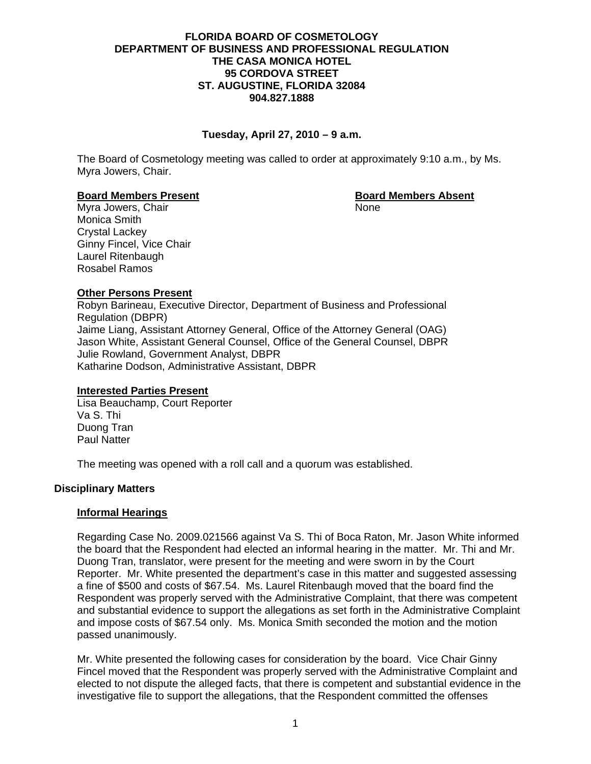### **FLORIDA BOARD OF COSMETOLOGY DEPARTMENT OF BUSINESS AND PROFESSIONAL REGULATION THE CASA MONICA HOTEL 95 CORDOVA STREET ST. AUGUSTINE, FLORIDA 32084 904.827.1888**

# **Tuesday, April 27, 2010 – 9 a.m.**

The Board of Cosmetology meeting was called to order at approximately 9:10 a.m., by Ms. Myra Jowers, Chair.

### **Board Members Present Communist Communist Property Research Board Members Absent**

Myra Jowers, Chair None Monica Smith Crystal Lackey Ginny Fincel, Vice Chair Laurel Ritenbaugh Rosabel Ramos

**Other Persons Present** Robyn Barineau, Executive Director, Department of Business and Professional Regulation (DBPR) Jaime Liang, Assistant Attorney General, Office of the Attorney General (OAG) Jason White, Assistant General Counsel, Office of the General Counsel, DBPR Julie Rowland, Government Analyst, DBPR Katharine Dodson, Administrative Assistant, DBPR

# **Interested Parties Present**

Lisa Beauchamp, Court Reporter Va S. Thi Duong Tran Paul Natter

The meeting was opened with a roll call and a quorum was established.

# **Disciplinary Matters**

# **Informal Hearings**

Regarding Case No. 2009.021566 against Va S. Thi of Boca Raton, Mr. Jason White informed the board that the Respondent had elected an informal hearing in the matter. Mr. Thi and Mr. Duong Tran, translator, were present for the meeting and were sworn in by the Court Reporter. Mr. White presented the department's case in this matter and suggested assessing a fine of \$500 and costs of \$67.54. Ms. Laurel Ritenbaugh moved that the board find the Respondent was properly served with the Administrative Complaint, that there was competent and substantial evidence to support the allegations as set forth in the Administrative Complaint and impose costs of \$67.54 only. Ms. Monica Smith seconded the motion and the motion passed unanimously.

Mr. White presented the following cases for consideration by the board. Vice Chair Ginny Fincel moved that the Respondent was properly served with the Administrative Complaint and elected to not dispute the alleged facts, that there is competent and substantial evidence in the investigative file to support the allegations, that the Respondent committed the offenses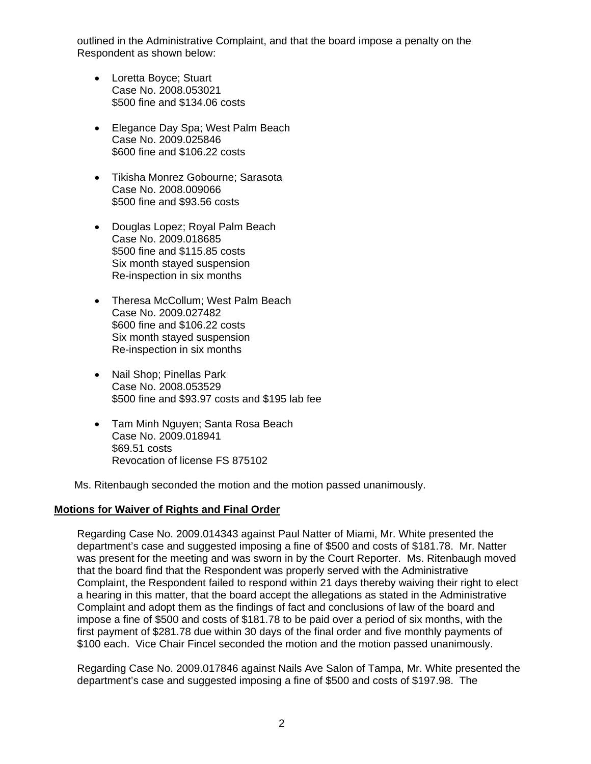outlined in the Administrative Complaint, and that the board impose a penalty on the Respondent as shown below:

- Loretta Boyce; Stuart Case No. 2008.053021 \$500 fine and \$134.06 costs
- Elegance Day Spa; West Palm Beach Case No. 2009.025846 \$600 fine and \$106.22 costs
- Tikisha Monrez Gobourne; Sarasota Case No. 2008.009066 \$500 fine and \$93.56 costs
- Douglas Lopez; Royal Palm Beach Case No. 2009.018685 \$500 fine and \$115.85 costs Six month stayed suspension Re-inspection in six months
- Theresa McCollum: West Palm Beach Case No. 2009.027482 \$600 fine and \$106.22 costs Six month stayed suspension Re-inspection in six months
- Nail Shop; Pinellas Park Case No. 2008.053529 \$500 fine and \$93.97 costs and \$195 lab fee
- Tam Minh Nguyen; Santa Rosa Beach Case No. 2009.018941 \$69.51 costs Revocation of license FS 875102

Ms. Ritenbaugh seconded the motion and the motion passed unanimously.

# **Motions for Waiver of Rights and Final Order**

Regarding Case No. 2009.014343 against Paul Natter of Miami, Mr. White presented the department's case and suggested imposing a fine of \$500 and costs of \$181.78. Mr. Natter was present for the meeting and was sworn in by the Court Reporter. Ms. Ritenbaugh moved that the board find that the Respondent was properly served with the Administrative Complaint, the Respondent failed to respond within 21 days thereby waiving their right to elect a hearing in this matter, that the board accept the allegations as stated in the Administrative Complaint and adopt them as the findings of fact and conclusions of law of the board and impose a fine of \$500 and costs of \$181.78 to be paid over a period of six months, with the first payment of \$281.78 due within 30 days of the final order and five monthly payments of \$100 each. Vice Chair Fincel seconded the motion and the motion passed unanimously.

Regarding Case No. 2009.017846 against Nails Ave Salon of Tampa, Mr. White presented the department's case and suggested imposing a fine of \$500 and costs of \$197.98. The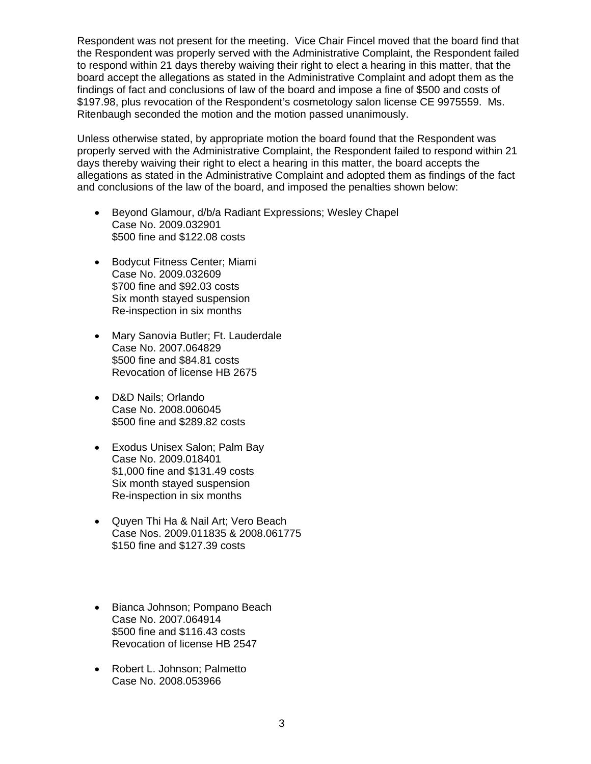Respondent was not present for the meeting. Vice Chair Fincel moved that the board find that the Respondent was properly served with the Administrative Complaint, the Respondent failed to respond within 21 days thereby waiving their right to elect a hearing in this matter, that the board accept the allegations as stated in the Administrative Complaint and adopt them as the findings of fact and conclusions of law of the board and impose a fine of \$500 and costs of \$197.98, plus revocation of the Respondent's cosmetology salon license CE 9975559. Ms. Ritenbaugh seconded the motion and the motion passed unanimously.

Unless otherwise stated, by appropriate motion the board found that the Respondent was properly served with the Administrative Complaint, the Respondent failed to respond within 21 days thereby waiving their right to elect a hearing in this matter, the board accepts the allegations as stated in the Administrative Complaint and adopted them as findings of the fact and conclusions of the law of the board, and imposed the penalties shown below:

- Beyond Glamour, d/b/a Radiant Expressions; Wesley Chapel Case No. 2009.032901 \$500 fine and \$122.08 costs
- Bodycut Fitness Center; Miami Case No. 2009.032609 \$700 fine and \$92.03 costs Six month stayed suspension Re-inspection in six months
- Mary Sanovia Butler; Ft. Lauderdale Case No. 2007.064829 \$500 fine and \$84.81 costs Revocation of license HB 2675
- D&D Nails; Orlando Case No. 2008.006045 \$500 fine and \$289.82 costs
- Exodus Unisex Salon; Palm Bay Case No. 2009.018401 \$1,000 fine and \$131.49 costs Six month stayed suspension Re-inspection in six months
- Quyen Thi Ha & Nail Art; Vero Beach Case Nos. 2009.011835 & 2008.061775 \$150 fine and \$127.39 costs
- Bianca Johnson; Pompano Beach Case No. 2007.064914 \$500 fine and \$116.43 costs Revocation of license HB 2547
- Robert L. Johnson; Palmetto Case No. 2008.053966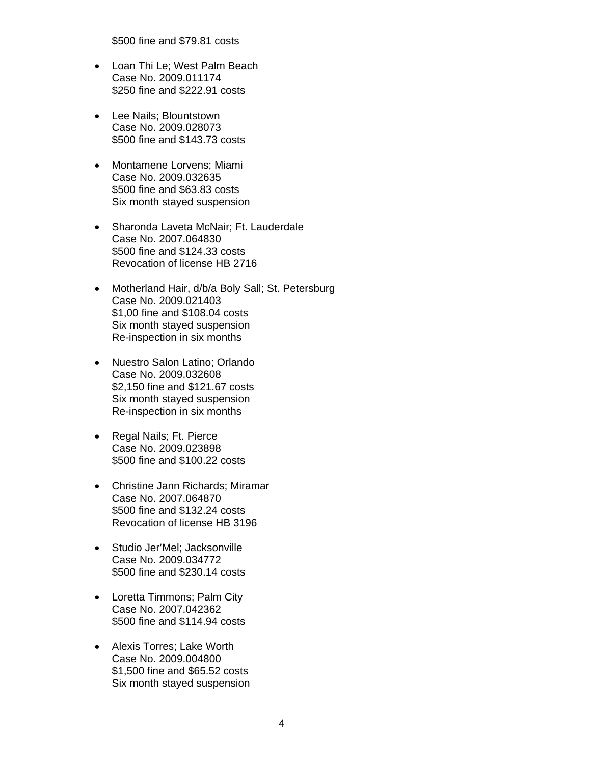\$500 fine and \$79.81 costs

- Loan Thi Le; West Palm Beach Case No. 2009.011174 \$250 fine and \$222.91 costs
- Lee Nails; Blountstown Case No. 2009.028073 \$500 fine and \$143.73 costs
- Montamene Lorvens; Miami Case No. 2009.032635 \$500 fine and \$63.83 costs Six month stayed suspension
- Sharonda Laveta McNair; Ft. Lauderdale Case No. 2007.064830 \$500 fine and \$124.33 costs Revocation of license HB 2716
- Motherland Hair, d/b/a Boly Sall; St. Petersburg Case No. 2009.021403 \$1,00 fine and \$108.04 costs Six month stayed suspension Re-inspection in six months
- Nuestro Salon Latino; Orlando Case No. 2009.032608 \$2,150 fine and \$121.67 costs Six month stayed suspension Re-inspection in six months
- Regal Nails; Ft. Pierce Case No. 2009.023898 \$500 fine and \$100.22 costs
- Christine Jann Richards; Miramar Case No. 2007.064870 \$500 fine and \$132.24 costs Revocation of license HB 3196
- Studio Jer'Mel; Jacksonville Case No. 2009.034772 \$500 fine and \$230.14 costs
- Loretta Timmons; Palm City Case No. 2007.042362 \$500 fine and \$114.94 costs
- Alexis Torres; Lake Worth Case No. 2009.004800 \$1,500 fine and \$65.52 costs Six month stayed suspension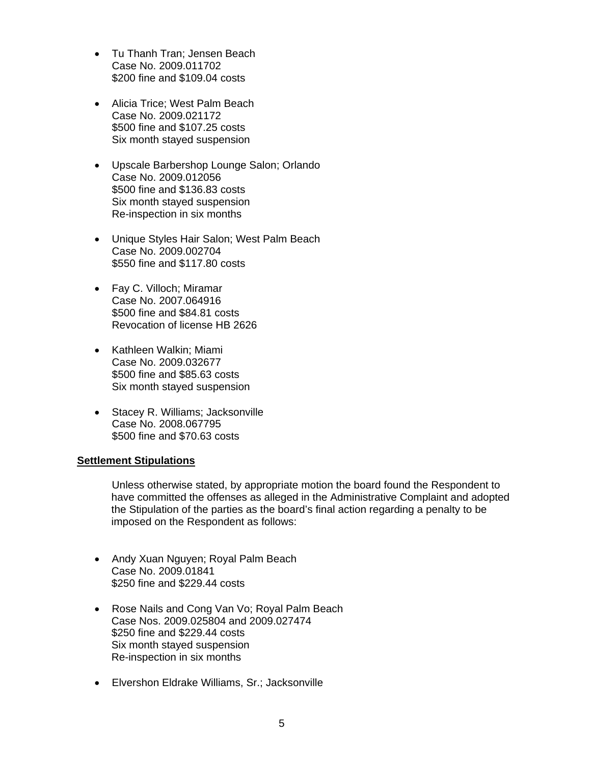- Tu Thanh Tran; Jensen Beach Case No. 2009.011702 \$200 fine and \$109.04 costs
- Alicia Trice; West Palm Beach Case No. 2009.021172 \$500 fine and \$107.25 costs Six month stayed suspension
- Upscale Barbershop Lounge Salon; Orlando Case No. 2009.012056 \$500 fine and \$136.83 costs Six month stayed suspension Re-inspection in six months
- Unique Styles Hair Salon; West Palm Beach Case No. 2009.002704 \$550 fine and \$117.80 costs
- Fay C. Villoch; Miramar Case No. 2007.064916 \$500 fine and \$84.81 costs Revocation of license HB 2626
- Kathleen Walkin; Miami Case No. 2009.032677 \$500 fine and \$85.63 costs Six month stayed suspension
- Stacey R. Williams; Jacksonville Case No. 2008.067795 \$500 fine and \$70.63 costs

#### **Settlement Stipulations**

Unless otherwise stated, by appropriate motion the board found the Respondent to have committed the offenses as alleged in the Administrative Complaint and adopted the Stipulation of the parties as the board's final action regarding a penalty to be imposed on the Respondent as follows:

- Andy Xuan Nguyen; Royal Palm Beach Case No. 2009.01841 \$250 fine and \$229.44 costs
- Rose Nails and Cong Van Vo; Royal Palm Beach Case Nos. 2009.025804 and 2009.027474 \$250 fine and \$229.44 costs Six month stayed suspension Re-inspection in six months
- Elvershon Eldrake Williams, Sr.; Jacksonville